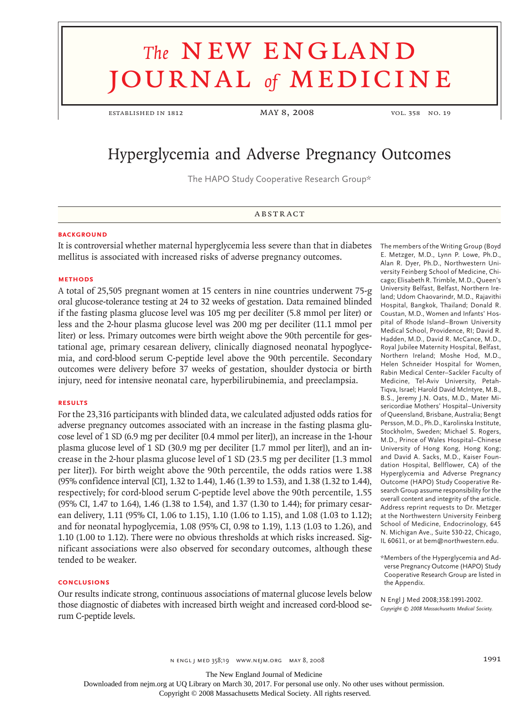# **The NEW ENGLAND** journal *of* medicine

established in 1812 MAY 8, 2008 vol. 358 no. 19

# Hyperglycemia and Adverse Pregnancy Outcomes

The HAPO Study Cooperative Research Group\*

#### **ABSTRACT**

#### **BACKGROUND**

It is controversial whether maternal hyperglycemia less severe than that in diabetes mellitus is associated with increased risks of adverse pregnancy outcomes.

#### **METHODS**

A total of 25,505 pregnant women at 15 centers in nine countries underwent 75-g oral glucose-tolerance testing at 24 to 32 weeks of gestation. Data remained blinded if the fasting plasma glucose level was 105 mg per deciliter (5.8 mmol per liter) or less and the 2-hour plasma glucose level was 200 mg per deciliter (11.1 mmol per liter) or less. Primary outcomes were birth weight above the 90th percentile for gestational age, primary cesarean delivery, clinically diagnosed neonatal hypoglycemia, and cord-blood serum C-peptide level above the 90th percentile. Secondary outcomes were delivery before 37 weeks of gestation, shoulder dystocia or birth injury, need for intensive neonatal care, hyperbilirubinemia, and preeclampsia.

#### **RESULTS**

For the 23,316 participants with blinded data, we calculated adjusted odds ratios for adverse pregnancy outcomes associated with an increase in the fasting plasma glucose level of 1 SD (6.9 mg per deciliter [0.4 mmol per liter]), an increase in the 1-hour plasma glucose level of 1 SD (30.9 mg per deciliter [1.7 mmol per liter]), and an increase in the 2-hour plasma glucose level of 1 SD (23.5 mg per deciliter [1.3 mmol per liter]). For birth weight above the 90th percentile, the odds ratios were 1.38 (95% confidence interval [CI], 1.32 to 1.44), 1.46 (1.39 to 1.53), and 1.38 (1.32 to 1.44), respectively; for cord-blood serum C-peptide level above the 90th percentile, 1.55 (95% CI, 1.47 to 1.64), 1.46 (1.38 to 1.54), and 1.37 (1.30 to 1.44); for primary cesarean delivery, 1.11 (95% CI, 1.06 to 1.15), 1.10 (1.06 to 1.15), and 1.08 (1.03 to 1.12); and for neonatal hypoglycemia, 1.08 (95% CI, 0.98 to 1.19), 1.13 (1.03 to 1.26), and 1.10 (1.00 to 1.12). There were no obvious thresholds at which risks increased. Significant associations were also observed for secondary outcomes, although these tended to be weaker.

#### **CONCLUSIONS**

Our results indicate strong, continuous associations of maternal glucose levels below those diagnostic of diabetes with increased birth weight and increased cord-blood serum C-peptide levels.

The members of the Writing Group (Boyd E. Metzger, M.D., Lynn P. Lowe, Ph.D., Alan R. Dyer, Ph.D., Northwestern University Feinberg School of Medicine, Chicago; Elisabeth R. Trimble, M.D., Queen's University Belfast, Belfast, Northern Ireland; Udom Chaovarindr, M.D., Rajavithi Hospital, Bangkok, Thailand; Donald R. Coustan, M.D., Women and Infants' Hospital of Rhode Island–Brown University Medical School, Providence, RI; David R. Hadden, M.D., David R. McCance, M.D., Royal Jubilee Maternity Hospital, Belfast, Northern Ireland; Moshe Hod, M.D., Helen Schneider Hospital for Women, Rabin Medical Center–Sackler Faculty of Medicine, Tel-Aviv University, Petah-Tiqva, Israel; Harold David McIntyre, M.B., B.S., Jeremy J.N. Oats, M.D., Mater Misericordiae Mothers' Hospital–University of Queensland, Brisbane, Australia; Bengt Persson, M.D., Ph.D., Karolinska Institute, Stockholm, Sweden; Michael S. Rogers, M.D., Prince of Wales Hospital–Chinese University of Hong Kong, Hong Kong; and David A. Sacks, M.D., Kaiser Foundation Hospital, Bellflower, CA) of the Hyperglycemia and Adverse Pregnancy Outcome (HAPO) Study Cooperative Research Group assume responsibility for the overall content and integrity of the article. Address reprint requests to Dr. Metzger at the Northwestern University Feinberg School of Medicine, Endocrinology, 645 N. Michigan Ave., Suite 530-22, Chicago, IL 60611, or at bem@northwestern.edu.

\*Members of the Hyperglycemia and Adverse Pregnancy Outcome (HAPO) Study Cooperative Research Group are listed in the Appendix.

N Engl J Med 2008;358:1991-2002. *Copyright © 2008 Massachusetts Medical Society.*

n engl j med 358;19 www.nejm.org may 8, 2008 1991

The New England Journal of Medicine

Downloaded from nejm.org at UQ Library on March 30, 2017. For personal use only. No other uses without permission.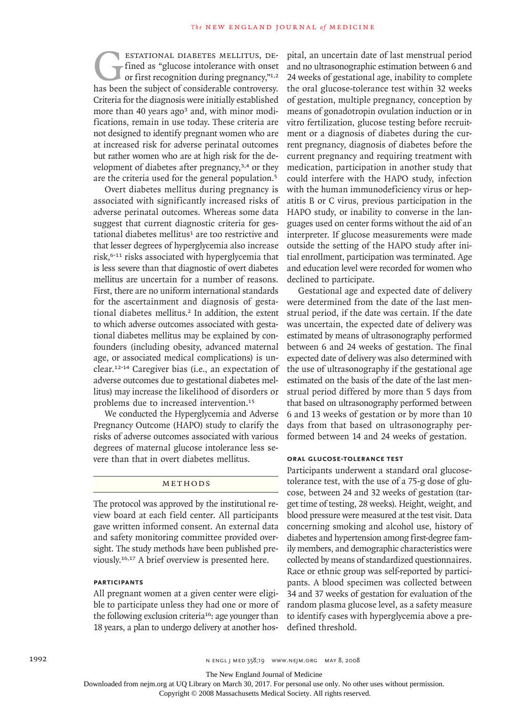ESTATIONAL DIABETES MELLITUS, DE-<br>fined as "glucose intolerance with onset<br>or first recognition during pregnancy,"<sup>1,2</sup><br>has been the subject of considerable controversy. fined as "glucose intolerance with onset or first recognition during pregnancy,"1,2 Criteria for the diagnosis were initially established more than 40 years ago<sup>3</sup> and, with minor modifications, remain in use today. These criteria are not designed to identify pregnant women who are at increased risk for adverse perinatal outcomes but rather women who are at high risk for the development of diabetes after pregnancy,<sup>3,4</sup> or they are the criteria used for the general population.<sup>5</sup>

Overt diabetes mellitus during pregnancy is associated with significantly increased risks of adverse perinatal outcomes. Whereas some data suggest that current diagnostic criteria for gestational diabetes mellitus<sup>1</sup> are too restrictive and that lesser degrees of hyperglycemia also increase risk,6-11 risks associated with hyperglycemia that is less severe than that diagnostic of overt diabetes mellitus are uncertain for a number of reasons. First, there are no uniform international standards for the ascertainment and diagnosis of gestational diabetes mellitus.<sup>2</sup> In addition, the extent to which adverse outcomes associated with gestational diabetes mellitus may be explained by confounders (including obesity, advanced maternal age, or associated medical complications) is unclear.12-14 Caregiver bias (i.e., an expectation of adverse outcomes due to gestational diabetes mellitus) may increase the likelihood of disorders or problems due to increased intervention.<sup>15</sup>

We conducted the Hyperglycemia and Adverse Pregnancy Outcome (HAPO) study to clarify the risks of adverse outcomes associated with various degrees of maternal glucose intolerance less severe than that in overt diabetes mellitus.

# METHODS

The protocol was approved by the institutional review board at each field center. All participants gave written informed consent. An external data and safety monitoring committee provided oversight. The study methods have been published previously.16,17 A brief overview is presented here.

### **Participants**

All pregnant women at a given center were eligible to participate unless they had one or more of the following exclusion criteria<sup>16</sup>: age younger than 18 years, a plan to undergo delivery at another hospital, an uncertain date of last menstrual period and no ultrasonographic estimation between 6 and 24 weeks of gestational age, inability to complete the oral glucose-tolerance test within 32 weeks of gestation, multiple pregnancy, conception by means of gonadotropin ovulation induction or in vitro fertilization, glucose testing before recruitment or a diagnosis of diabetes during the current pregnancy, diagnosis of diabetes before the current pregnancy and requiring treatment with medication, participation in another study that could interfere with the HAPO study, infection with the human immunodeficiency virus or hepatitis B or C virus, previous participation in the HAPO study, or inability to converse in the languages used on center forms without the aid of an interpreter. If glucose measurements were made outside the setting of the HAPO study after initial enrollment, participation was terminated. Age and education level were recorded for women who declined to participate.

Gestational age and expected date of delivery were determined from the date of the last menstrual period, if the date was certain. If the date was uncertain, the expected date of delivery was estimated by means of ultrasonography performed between 6 and 24 weeks of gestation. The final expected date of delivery was also determined with the use of ultrasonography if the gestational age estimated on the basis of the date of the last menstrual period differed by more than 5 days from that based on ultrasonography performed between 6 and 13 weeks of gestation or by more than 10 days from that based on ultrasonography performed between 14 and 24 weeks of gestation.

# **Oral Glucose-Tolerance Test**

Participants underwent a standard oral glucosetolerance test, with the use of a 75-g dose of glucose, between 24 and 32 weeks of gestation (target time of testing, 28 weeks). Height, weight, and blood pressure were measured at the test visit. Data concerning smoking and alcohol use, history of diabetes and hypertension among first-degree family members, and demographic characteristics were collected by means of standardized questionnaires. Race or ethnic group was self-reported by participants. A blood specimen was collected between 34 and 37 weeks of gestation for evaluation of the random plasma glucose level, as a safety measure to identify cases with hyperglycemia above a predefined threshold.

The New England Journal of Medicine

Downloaded from nejm.org at UQ Library on March 30, 2017. For personal use only. No other uses without permission.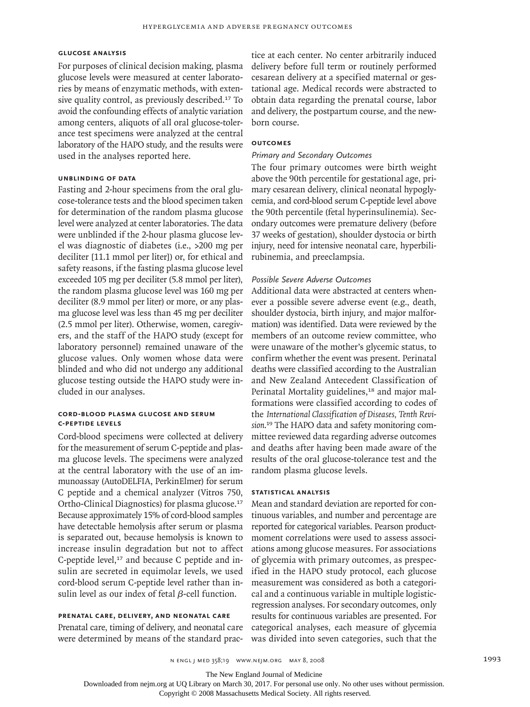#### **Glucose Analysis**

For purposes of clinical decision making, plasma glucose levels were measured at center laboratories by means of enzymatic methods, with extensive quality control, as previously described.17 To avoid the confounding effects of analytic variation among centers, aliquots of all oral glucose-tolerance test specimens were analyzed at the central laboratory of the HAPO study, and the results were used in the analyses reported here.

# **Unblinding of Data**

Fasting and 2-hour specimens from the oral glucose-tolerance tests and the blood specimen taken for determination of the random plasma glucose level were analyzed at center laboratories. The data were unblinded if the 2-hour plasma glucose level was diagnostic of diabetes (i.e., >200 mg per deciliter [11.1 mmol per liter]) or, for ethical and safety reasons, if the fasting plasma glucose level exceeded 105 mg per deciliter (5.8 mmol per liter), the random plasma glucose level was 160 mg per deciliter (8.9 mmol per liter) or more, or any plasma glucose level was less than 45 mg per deciliter (2.5 mmol per liter). Otherwise, women, caregivers, and the staff of the HAPO study (except for laboratory personnel) remained unaware of the glucose values. Only women whose data were blinded and who did not undergo any additional glucose testing outside the HAPO study were included in our analyses.

# **Cord-Blood Plasma Glucose and Serum C-Peptide Levels**

Cord-blood specimens were collected at delivery for the measurement of serum C-peptide and plasma glucose levels. The specimens were analyzed at the central laboratory with the use of an immunoassay (AutoDELFIA, PerkinElmer) for serum C peptide and a chemical analyzer (Vitros 750, Ortho-Clinical Diagnostics) for plasma glucose.<sup>17</sup> Because approximately 15% of cord-blood samples have detectable hemolysis after serum or plasma is separated out, because hemolysis is known to increase insulin degradation but not to affect C-peptide level, $17$  and because C peptide and insulin are secreted in equimolar levels, we used cord-blood serum C-peptide level rather than insulin level as our index of fetal β-cell function.

# **Prenatal Care, Delivery, and Neonatal Care**

Prenatal care, timing of delivery, and neonatal care were determined by means of the standard practice at each center. No center arbitrarily induced delivery before full term or routinely performed cesarean delivery at a specified maternal or gestational age. Medical records were abstracted to obtain data regarding the prenatal course, labor and delivery, the postpartum course, and the newborn course.

### **Outcomes**

#### *Primary and Secondary Outcomes*

The four primary outcomes were birth weight above the 90th percentile for gestational age, primary cesarean delivery, clinical neonatal hypoglycemia, and cord-blood serum C-peptide level above the 90th percentile (fetal hyperinsulinemia). Secondary outcomes were premature delivery (before 37 weeks of gestation), shoulder dystocia or birth injury, need for intensive neonatal care, hyperbilirubinemia, and preeclampsia.

#### *Possible Severe Adverse Outcomes*

Additional data were abstracted at centers whenever a possible severe adverse event (e.g., death, shoulder dystocia, birth injury, and major malformation) was identified. Data were reviewed by the members of an outcome review committee, who were unaware of the mother's glycemic status, to confirm whether the event was present. Perinatal deaths were classified according to the Australian and New Zealand Antecedent Classification of Perinatal Mortality guidelines,<sup>18</sup> and major malformations were classified according to codes of the *International Classification of Diseases, Tenth Revision*. 19 The HAPO data and safety monitoring committee reviewed data regarding adverse outcomes and deaths after having been made aware of the results of the oral glucose-tolerance test and the random plasma glucose levels.

#### **Statistical Analysis**

Mean and standard deviation are reported for continuous variables, and number and percentage are reported for categorical variables. Pearson productmoment correlations were used to assess associations among glucose measures. For associations of glycemia with primary outcomes, as prespecified in the HAPO study protocol, each glucose measurement was considered as both a categorical and a continuous variable in multiple logisticregression analyses. For secondary outcomes, only results for continuous variables are presented. For categorical analyses, each measure of glycemia was divided into seven categories, such that the

The New England Journal of Medicine

Downloaded from nejm.org at UQ Library on March 30, 2017. For personal use only. No other uses without permission.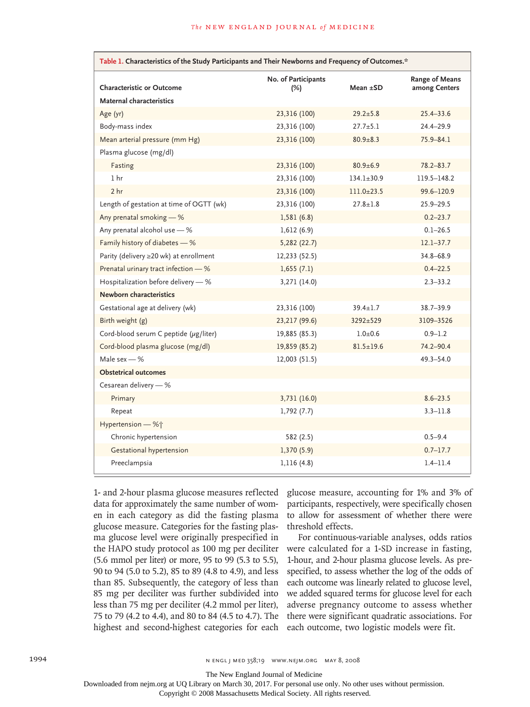| Table 1. Characteristics of the Study Participants and Their Newborns and Frequency of Outcomes.* |                            |                  |                                        |  |  |  |
|---------------------------------------------------------------------------------------------------|----------------------------|------------------|----------------------------------------|--|--|--|
| <b>Characteristic or Outcome</b>                                                                  | No. of Participants<br>(%) | Mean $\pm$ SD    | <b>Range of Means</b><br>among Centers |  |  |  |
| <b>Maternal characteristics</b>                                                                   |                            |                  |                                        |  |  |  |
| Age (yr)                                                                                          | 23,316 (100)               | $29.2 + 5.8$     | $25.4 - 33.6$                          |  |  |  |
| Body-mass index                                                                                   | 23,316 (100)               | $27.7 + 5.1$     | $24.4 - 29.9$                          |  |  |  |
| Mean arterial pressure (mm Hg)                                                                    | 23,316 (100)               | $80.9 + 8.3$     | $75.9 - 84.1$                          |  |  |  |
| Plasma glucose (mg/dl)                                                                            |                            |                  |                                        |  |  |  |
| Fasting                                                                                           | 23,316 (100)               | $80.9 + 6.9$     | $78.2 - 83.7$                          |  |  |  |
| 1 <sub>hr</sub>                                                                                   | 23,316 (100)               | $134.1 \pm 30.9$ | 119.5-148.2                            |  |  |  |
| 2 <sub>hr</sub>                                                                                   | 23,316 (100)               | $111.0 \pm 23.5$ | 99.6-120.9                             |  |  |  |
| Length of gestation at time of OGTT (wk)                                                          | 23,316 (100)               | $27.8 \pm 1.8$   | $25.9 - 29.5$                          |  |  |  |
| Any prenatal smoking - %                                                                          | 1,581(6.8)                 |                  | $0.2 - 23.7$                           |  |  |  |
| Any prenatal alcohol use - %                                                                      | 1,612(6.9)                 |                  | $0.1 - 26.5$                           |  |  |  |
| Family history of diabetes - %                                                                    | 5,282(22.7)                |                  | $12.1 - 37.7$                          |  |  |  |
| Parity (delivery ≥20 wk) at enrollment                                                            | 12,233 (52.5)              |                  | 34.8-68.9                              |  |  |  |
| Prenatal urinary tract infection - %                                                              | 1,655(7.1)                 |                  | $0.4 - 22.5$                           |  |  |  |
| Hospitalization before delivery - %                                                               | 3,271 (14.0)               |                  | $2.3 - 33.2$                           |  |  |  |
| Newborn characteristics                                                                           |                            |                  |                                        |  |  |  |
| Gestational age at delivery (wk)                                                                  | 23,316 (100)               | $39.4 + 1.7$     | 38.7-39.9                              |  |  |  |
| Birth weight (g)                                                                                  | 23,217 (99.6)              | $3292 + 529$     | 3109-3526                              |  |  |  |
| Cord-blood serum C peptide (µg/liter)                                                             | 19,885 (85.3)              | $1.0 + 0.6$      | $0.9 - 1.2$                            |  |  |  |
| Cord-blood plasma glucose (mg/dl)                                                                 | 19,859 (85.2)              | $81.5 \pm 19.6$  | 74.2-90.4                              |  |  |  |
| Male sex $-$ %                                                                                    | 12,003 (51.5)              |                  | $49.3 - 54.0$                          |  |  |  |
| <b>Obstetrical outcomes</b>                                                                       |                            |                  |                                        |  |  |  |
| Cesarean delivery - %                                                                             |                            |                  |                                        |  |  |  |
| Primary                                                                                           | 3,731 (16.0)               |                  | $8.6 - 23.5$                           |  |  |  |
| Repeat                                                                                            | 1,792(7.7)                 |                  | $3.3 - 11.8$                           |  |  |  |
| Hypertension - %†                                                                                 |                            |                  |                                        |  |  |  |
| Chronic hypertension                                                                              | 582(2.5)                   |                  | $0.5 - 9.4$                            |  |  |  |
| Gestational hypertension                                                                          | 1,370(5.9)                 |                  | $0.7 - 17.7$                           |  |  |  |
| Preeclampsia                                                                                      | 1,116(4.8)                 |                  | $1.4 - 11.4$                           |  |  |  |

1- and 2-hour plasma glucose measures reflected data for approximately the same number of women in each category as did the fasting plasma glucose measure. Categories for the fasting plasma glucose level were originally prespecified in the HAPO study protocol as 100 mg per deciliter (5.6 mmol per liter) or more, 95 to 99 (5.3 to 5.5), 90 to 94 (5.0 to 5.2), 85 to 89 (4.8 to 4.9), and less than 85. Subsequently, the category of less than 85 mg per deciliter was further subdivided into less than 75 mg per deciliter (4.2 mmol per liter), 75 to 79 (4.2 to 4.4), and 80 to 84 (4.5 to 4.7). The highest and second-highest categories for each glucose measure, accounting for 1% and 3% of participants, respectively, were specifically chosen to allow for assessment of whether there were threshold effects.

For continuous-variable analyses, odds ratios were calculated for a 1-SD increase in fasting, 1-hour, and 2-hour plasma glucose levels. As prespecified, to assess whether the log of the odds of each outcome was linearly related to glucose level, we added squared terms for glucose level for each adverse pregnancy outcome to assess whether there were significant quadratic associations. For each outcome, two logistic models were fit.

The New England Journal of Medicine

Downloaded from nejm.org at UQ Library on March 30, 2017. For personal use only. No other uses without permission.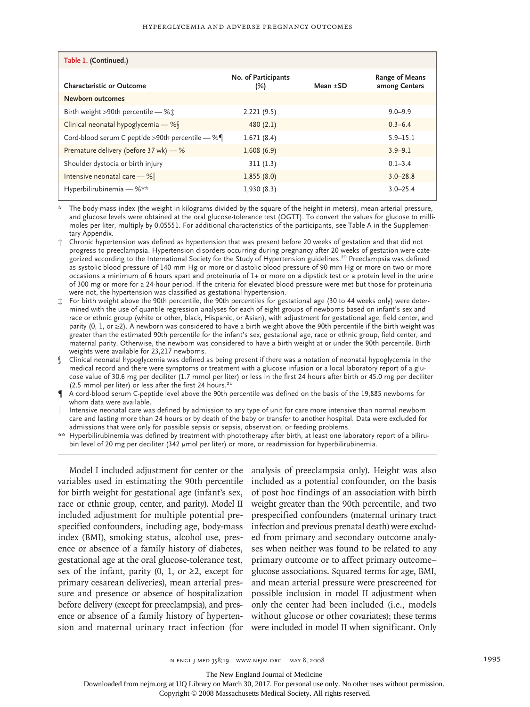#### Hyperglycemia and Adverse Pregnancy Outcomes

| Table 1. (Continued.)                            |                            |               |                                        |  |  |
|--------------------------------------------------|----------------------------|---------------|----------------------------------------|--|--|
| <b>Characteristic or Outcome</b>                 | No. of Participants<br>(%) | Mean $\pm$ SD | <b>Range of Means</b><br>among Centers |  |  |
| Newborn outcomes                                 |                            |               |                                        |  |  |
| Birth weight >90th percentile – % $\pm$          | 2,221(9.5)                 |               | $9.0 - 9.9$                            |  |  |
| Clinical neonatal hypoglycemia - %               | 480(2.1)                   |               | $0.3 - 6.4$                            |  |  |
| Cord-blood serum C peptide >90th percentile - %¶ | 1,671(8.4)                 |               | $5.9 - 15.1$                           |  |  |
| Premature delivery (before 37 wk) - %            | 1,608(6.9)                 |               | $3.9 - 9.1$                            |  |  |
| Shoulder dystocia or birth injury                | 311(1.3)                   |               | $0.1 - 3.4$                            |  |  |
| Intensive neonatal care $-\%$                    | 1,855(8.0)                 |               | $3.0 - 28.8$                           |  |  |
| Hyperbilirubinemia - %**                         | 1,930(8.3)                 |               | $3.0 - 25.4$                           |  |  |

The body-mass index (the weight in kilograms divided by the square of the height in meters), mean arterial pressure, and glucose levels were obtained at the oral glucose-tolerance test (OGTT). To convert the values for glucose to millimoles per liter, multiply by 0.05551. For additional characteristics of the participants, see Table A in the Supplementary Appendix.

- † Chronic hypertension was defined as hypertension that was present before 20 weeks of gestation and that did not progress to preeclampsia. Hypertension disorders occurring during pregnancy after 20 weeks of gestation were categorized according to the International Society for the Study of Hypertension guidelines.<sup>20</sup> Preeclampsia was defined as systolic blood pressure of 140 mm Hg or more or diastolic blood pressure of 90 mm Hg or more on two or more occasions a minimum of 6 hours apart and proteinuria of 1+ or more on a dipstick test or a protein level in the urine of 300 mg or more for a 24-hour period. If the criteria for elevated blood pressure were met but those for proteinuria were not, the hypertension was classified as gestational hypertension.
- For birth weight above the 90th percentile, the 90th percentiles for gestational age (30 to 44 weeks only) were determined with the use of quantile regression analyses for each of eight groups of newborns based on infant's sex and race or ethnic group (white or other, black, Hispanic, or Asian), with adjustment for gestational age, field center, and parity (0, 1, or ≥2). A newborn was considered to have a birth weight above the 90th percentile if the birth weight was greater than the estimated 90th percentile for the infant's sex, gestational age, race or ethnic group, field center, and maternal parity. Otherwise, the newborn was considered to have a birth weight at or under the 90th percentile. Birth weights were available for 23,217 newborns.
- § Clinical neonatal hypoglycemia was defined as being present if there was a notation of neonatal hypoglycemia in the medical record and there were symptoms or treatment with a glucose infusion or a local laboratory report of a glucose value of 30.6 mg per deciliter (1.7 mmol per liter) or less in the first 24 hours after birth or 45.0 mg per deciliter (2.5 mmol per liter) or less after the first 24 hours. $21$
- A cord-blood serum C-peptide level above the 90th percentile was defined on the basis of the 19,885 newborns for whom data were available.
- Intensive neonatal care was defined by admission to any type of unit for care more intensive than normal newborn care and lasting more than 24 hours or by death of the baby or transfer to another hospital. Data were excluded for admissions that were only for possible sepsis or sepsis, observation, or feeding problems.
- \*\* Hyperbilirubinemia was defined by treatment with phototherapy after birth, at least one laboratory report of a bilirubin level of 20 mg per deciliter (342 μmol per liter) or more, or readmission for hyperbilirubinemia.

Model I included adjustment for center or the variables used in estimating the 90th percentile for birth weight for gestational age (infant's sex, race or ethnic group, center, and parity). Model II included adjustment for multiple potential prespecified confounders, including age, body-mass index (BMI), smoking status, alcohol use, presence or absence of a family history of diabetes, gestational age at the oral glucose-tolerance test, sex of the infant, parity  $(0, 1, 0r \geq 2)$ , except for primary cesarean deliveries), mean arterial pressure and presence or absence of hospitalization before delivery (except for preeclampsia), and presence or absence of a family history of hypertension and maternal urinary tract infection (for

analysis of preeclampsia only). Height was also included as a potential confounder, on the basis of post hoc findings of an association with birth weight greater than the 90th percentile, and two prespecified confounders (maternal urinary tract infection and previous prenatal death) were excluded from primary and secondary outcome analyses when neither was found to be related to any primary outcome or to affect primary outcome– glucose associations. Squared terms for age, BMI, and mean arterial pressure were prescreened for possible inclusion in model II adjustment when only the center had been included (i.e., models without glucose or other covariates); these terms were included in model II when significant. Only

The New England Journal of Medicine

Downloaded from nejm.org at UQ Library on March 30, 2017. For personal use only. No other uses without permission.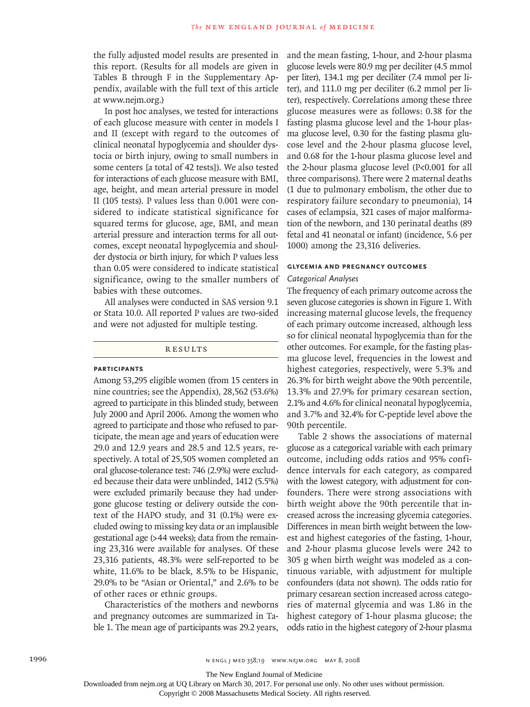the fully adjusted model results are presented in this report. (Results for all models are given in Tables B through F in the Supplementary Appendix, available with the full text of this article at www.nejm.org.)

In post hoc analyses, we tested for interactions of each glucose measure with center in models I and II (except with regard to the outcomes of clinical neonatal hypoglycemia and shoulder dystocia or birth injury, owing to small numbers in some centers [a total of 42 tests]). We also tested for interactions of each glucose measure with BMI, age, height, and mean arterial pressure in model II (105 tests). P values less than 0.001 were considered to indicate statistical significance for squared terms for glucose, age, BMI, and mean arterial pressure and interaction terms for all outcomes, except neonatal hypoglycemia and shoulder dystocia or birth injury, for which P values less than 0.05 were considered to indicate statistical significance, owing to the smaller numbers of babies with these outcomes.

All analyses were conducted in SAS version 9.1 or Stata 10.0. All reported P values are two-sided and were not adjusted for multiple testing.

#### **RESULTS**

#### **Participants**

Among 53,295 eligible women (from 15 centers in nine countries; see the Appendix), 28,562 (53.6%) agreed to participate in this blinded study, between July 2000 and April 2006. Among the women who agreed to participate and those who refused to participate, the mean age and years of education were 29.0 and 12.9 years and 28.5 and 12.5 years, respectively. A total of 25,505 women completed an oral glucose-tolerance test: 746 (2.9%) were excluded because their data were unblinded, 1412 (5.5%) were excluded primarily because they had undergone glucose testing or delivery outside the context of the HAPO study, and 31 (0.1%) were excluded owing to missing key data or an implausible gestational age (>44 weeks); data from the remaining 23,316 were available for analyses. Of these 23,316 patients, 48.3% were self-reported to be white, 11.6% to be black, 8.5% to be Hispanic, 29.0% to be "Asian or Oriental," and 2.6% to be of other races or ethnic groups.

Characteristics of the mothers and newborns and pregnancy outcomes are summarized in Table 1. The mean age of participants was 29.2 years,

and the mean fasting, 1-hour, and 2-hour plasma glucose levels were 80.9 mg per deciliter (4.5 mmol per liter), 134.1 mg per deciliter (7.4 mmol per liter), and 111.0 mg per deciliter (6.2 mmol per liter), respectively. Correlations among these three glucose measures were as follows: 0.38 for the fasting plasma glucose level and the 1-hour plasma glucose level, 0.30 for the fasting plasma glucose level and the 2-hour plasma glucose level, and 0.68 for the 1-hour plasma glucose level and the 2-hour plasma glucose level (P<0.001 for all three comparisons). There were 2 maternal deaths (1 due to pulmonary embolism, the other due to respiratory failure secondary to pneumonia), 14 cases of eclampsia, 321 cases of major malformation of the newborn, and 130 perinatal deaths (89 fetal and 41 neonatal or infant) (incidence, 5.6 per 1000) among the 23,316 deliveries.

#### **Glycemia and Pregnancy Outcomes**

#### *Categorical Analyses*

The frequency of each primary outcome across the seven glucose categories is shown in Figure 1. With increasing maternal glucose levels, the frequency of each primary outcome increased, although less so for clinical neonatal hypoglycemia than for the other outcomes. For example, for the fasting plasma glucose level, frequencies in the lowest and highest categories, respectively, were 5.3% and 26.3% for birth weight above the 90th percentile, 13.3% and 27.9% for primary cesarean section, 2.1% and 4.6% for clinical neonatal hypoglycemia, and 3.7% and 32.4% for C-peptide level above the 90th percentile.

Table 2 shows the associations of maternal glucose as a categorical variable with each primary outcome, including odds ratios and 95% confidence intervals for each category, as compared with the lowest category, with adjustment for confounders. There were strong associations with birth weight above the 90th percentile that increased across the increasing glycemia categories. Differences in mean birth weight between the lowest and highest categories of the fasting, 1-hour, and 2-hour plasma glucose levels were 242 to 305 g when birth weight was modeled as a continuous variable, with adjustment for multiple confounders (data not shown). The odds ratio for primary cesarean section increased across categories of maternal glycemia and was 1.86 in the highest category of 1-hour plasma glucose; the odds ratio in the highest category of 2-hour plasma

The New England Journal of Medicine

Downloaded from nejm.org at UQ Library on March 30, 2017. For personal use only. No other uses without permission.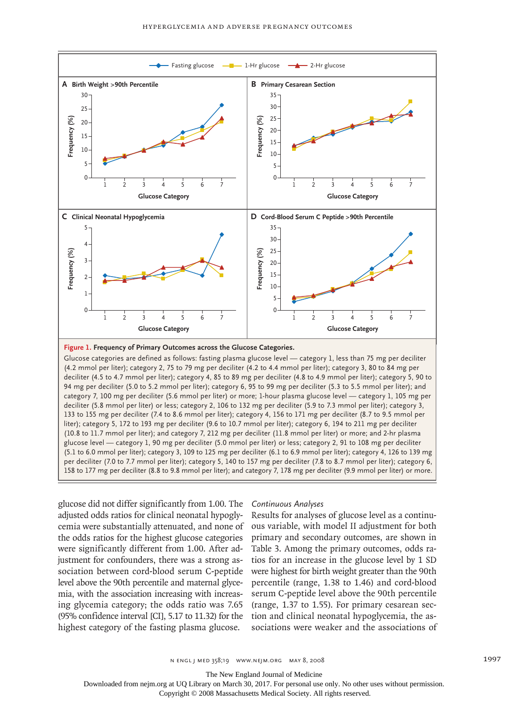

category 7, 100 mg per deciliter (5.6 mmol per liter) or more; 1-hour plasma glucose level — category 1, 105 mg per Glucose categories are defined as follows: fasting plasma glucose level — category 1, less than 75 mg per deciliter (4.2 mmol per liter); category 2, 75 to 79 mg per deciliter (4.2 to 4.4 mmol per liter); category 3, 80 to 84 mg per glucose level — category 1, 90 mg per deciliter (5.0 mmol per liter) or less; category 2, 91 to 108 mg per deciliter 94 mg per deciliter (5.0 to 5.2 mmol per liter); category 6, 95 to 99 mg per deciliter (5.3 to 5.5 mmol per liter); and CASE Revised 3rd deciliter (4.5 to 4.7 mmol per liter); category 4, 85 to 89 mg per deciliter (4.8 to 4.9 mmol per liter); category 5, 90 to deciliter (5.8 mmol per liter) or less; category 2, 106 to 132 mg per deciliter (5.9 to 7.3 mmol per liter); category 3, 133 to 155 mg per deciliter (7.4 to 8.6 mmol per liter); category 4, 156 to 171 mg per deciliter (8.7 to 9.5 mmol per liter); category 5, 172 to 193 mg per deciliter (9.6 to 10.7 mmol per liter); category 6, 194 to 211 mg per deciliter (10.8 to 11.7 mmol per liter); and category 7, 212 mg per deciliter (11.8 mmol per liter) or more; and 2-hr plasma (5.1 to 6.0 mmol per liter); category 3, 109 to 125 mg per deciliter (6.1 to 6.9 mmol per liter); category 4, 126 to 139 mg per deciliter (7.0 to 7.7 mmol per liter); category 5, 140 to 157 mg per deciliter (7.8 to 8.7 mmol per liter); category 6, 158 to 177 mg per deciliter (8.8 to 9.8 mmol per liter); and category 7, 178 mg per deciliter (9.9 mmol per liter) or more.

glucose did not differ significantly from 1.00. The adjusted odds ratios for clinical neonatal hypoglycemia were substantially attenuated, and none of the odds ratios for the highest glucose categories were significantly different from 1.00. After adjustment for confounders, there was a strong association between cord-blood serum C-peptide level above the 90th percentile and maternal glycemia, with the association increasing with increasing glycemia category; the odds ratio was 7.65 (95% confidence interval [CI], 5.17 to 11.32) for the highest category of the fasting plasma glucose.

#### *Continuous Analyses*

Results for analyses of glucose level as a continuous variable, with model II adjustment for both primary and secondary outcomes, are shown in Table 3. Among the primary outcomes, odds ratios for an increase in the glucose level by 1 SD were highest for birth weight greater than the 90th percentile (range, 1.38 to 1.46) and cord-blood serum C-peptide level above the 90th percentile (range, 1.37 to 1.55). For primary cesarean section and clinical neonatal hypoglycemia, the associations were weaker and the associations of

The New England Journal of Medicine

Downloaded from nejm.org at UQ Library on March 30, 2017. For personal use only. No other uses without permission.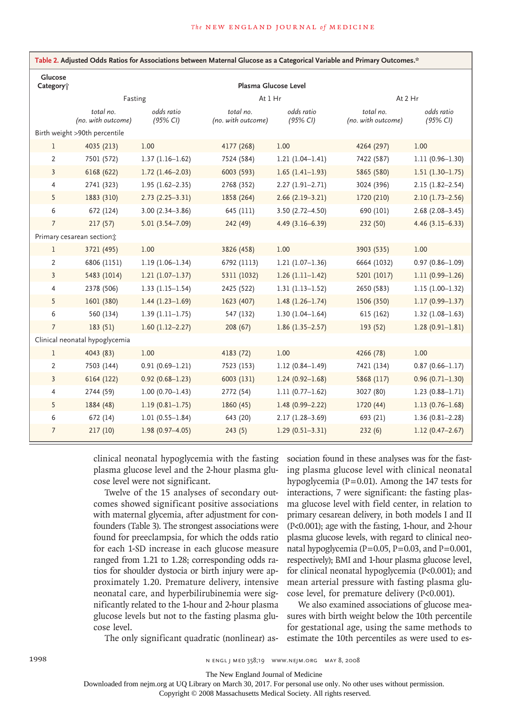| Table 2. Adjusted Odds Ratios for Associations between Maternal Glucose as a Categorical Variable and Primary Outcomes.* |                                 |                        |                                 |                        |                                 |                        |  |
|--------------------------------------------------------------------------------------------------------------------------|---------------------------------|------------------------|---------------------------------|------------------------|---------------------------------|------------------------|--|
| Glucose<br>Category <sup>*</sup>                                                                                         | Plasma Glucose Level            |                        |                                 |                        |                                 |                        |  |
|                                                                                                                          | Fasting                         |                        | At 1 Hr                         |                        |                                 | At 2 Hr                |  |
|                                                                                                                          | total no.<br>(no. with outcome) | odds ratio<br>(95% CI) | total no.<br>(no. with outcome) | odds ratio<br>(95% CI) | total no.<br>(no. with outcome) | odds ratio<br>(95% CI) |  |
|                                                                                                                          | Birth weight >90th percentile   |                        |                                 |                        |                                 |                        |  |
| $\mathbf{1}$                                                                                                             | 4035 (213)                      | 1.00                   | 4177 (268)                      | 1.00                   | 4264 (297)                      | 1.00                   |  |
| $\overline{2}$                                                                                                           | 7501 (572)                      | $1.37(1.16-1.62)$      | 7524 (584)                      | $1.21(1.04-1.41)$      | 7422 (587)                      | $1.11(0.96 - 1.30)$    |  |
| $\overline{3}$                                                                                                           | 6168 (622)                      | $1.72(1.46-2.03)$      | 6003 (593)                      | $1.65(1.41-1.93)$      | 5865 (580)                      | $1.51(1.30-1.75)$      |  |
| 4                                                                                                                        | 2741 (323)                      | $1.95(1.62 - 2.35)$    | 2768 (352)                      | $2.27(1.91 - 2.71)$    | 3024 (396)                      | $2.15(1.82 - 2.54)$    |  |
| 5                                                                                                                        | 1883 (310)                      | $2.73$ $(2.25-3.31)$   | 1858 (264)                      | $2.66(2.19-3.21)$      | 1720 (210)                      | $2.10(1.73 - 2.56)$    |  |
| 6                                                                                                                        | 672 (124)                       | $3.00(2.34 - 3.86)$    | 645 (111)                       | $3.50(2.72 - 4.50)$    | 690 (101)                       | $2.68(2.08-3.45)$      |  |
| $\overline{7}$                                                                                                           | 217(57)                         | $5.01(3.54 - 7.09)$    | 242 (49)                        | $4.49(3.16 - 6.39)$    | 232(50)                         | $4.46(3.15 - 6.33)$    |  |
|                                                                                                                          | Primary cesarean section;       |                        |                                 |                        |                                 |                        |  |
| $\mathbf{1}$                                                                                                             | 3721 (495)                      | 1.00                   | 3826 (458)                      | 1.00                   | 3903 (535)                      | 1.00                   |  |
| $\overline{2}$                                                                                                           | 6806 (1151)                     | $1.19(1.06-1.34)$      | 6792 (1113)                     | $1.21(1.07-1.36)$      | 6664 (1032)                     | $0.97(0.86 - 1.09)$    |  |
| 3                                                                                                                        | 5483 (1014)                     | $1.21(1.07-1.37)$      | 5311 (1032)                     | $1.26(1.11-1.42)$      | 5201 (1017)                     | $1.11(0.99 - 1.26)$    |  |
| 4                                                                                                                        | 2378 (506)                      | $1.33(1.15-1.54)$      | 2425 (522)                      | $1.31(1.13 - 1.52)$    | 2650 (583)                      | $1.15(1.00-1.32)$      |  |
| 5                                                                                                                        | 1601 (380)                      | $1.44(1.23-1.69)$      | 1623 (407)                      | $1.48(1.26 - 1.74)$    | 1506 (350)                      | $1.17(0.99 - 1.37)$    |  |
| 6                                                                                                                        | 560 (134)                       | $1.39(1.11 - 1.75)$    | 547 (132)                       | $1.30(1.04 - 1.64)$    | 615 (162)                       | $1.32(1.08 - 1.63)$    |  |
| $\overline{7}$                                                                                                           | 183(51)                         | $1.60(1.12-2.27)$      | 208(67)                         | $1.86(1.35 - 2.57)$    | 193(52)                         | $1.28(0.91 - 1.81)$    |  |
| Clinical neonatal hypoglycemia                                                                                           |                                 |                        |                                 |                        |                                 |                        |  |
| $\mathbf{1}$                                                                                                             | 4043 (83)                       | 1.00                   | 4183 (72)                       | 1.00                   | 4266 (78)                       | 1.00                   |  |
| $\overline{2}$                                                                                                           | 7503 (144)                      | $0.91(0.69 - 1.21)$    | 7523 (153)                      | $1.12(0.84 - 1.49)$    | 7421 (134)                      | $0.87(0.66 - 1.17)$    |  |
| $\overline{3}$                                                                                                           | 6164 (122)                      | $0.92(0.68 - 1.23)$    | 6003 (131)                      | $1.24(0.92 - 1.68)$    | 5868 (117)                      | $0.96(0.71 - 1.30)$    |  |
| 4                                                                                                                        | 2744 (59)                       | $1.00(0.70 - 1.43)$    | 2772 (54)                       | $1.11(0.77 - 1.62)$    | 3027 (80)                       | $1.23(0.88 - 1.71)$    |  |
| 5                                                                                                                        | 1884 (48)                       | $1.19(0.81 - 1.75)$    | 1860 (45)                       | $1.48(0.99 - 2.22)$    | 1720 (44)                       | $1.13(0.76 - 1.68)$    |  |
| 6                                                                                                                        | 672 (14)                        | $1.01(0.55 - 1.84)$    | 643 (20)                        | $2.17(1.28 - 3.69)$    | 693 (21)                        | $1.36(0.81 - 2.28)$    |  |
| $\overline{7}$                                                                                                           | 217(10)                         | $1.98(0.97 - 4.05)$    | 243(5)                          | $1.29(0.51 - 3.31)$    | 232(6)                          | $1.12(0.47 - 2.67)$    |  |

clinical neonatal hypoglycemia with the fasting plasma glucose level and the 2-hour plasma glucose level were not significant.

Twelve of the 15 analyses of secondary outcomes showed significant positive associations with maternal glycemia, after adjustment for confounders (Table 3). The strongest associations were found for preeclampsia, for which the odds ratio for each 1-SD increase in each glucose measure ranged from 1.21 to 1.28; corresponding odds ratios for shoulder dystocia or birth injury were approximately 1.20. Premature delivery, intensive neonatal care, and hyperbilirubinemia were significantly related to the 1-hour and 2-hour plasma glucose levels but not to the fasting plasma glucose level.

The only significant quadratic (nonlinear) as-

sociation found in these analyses was for the fasting plasma glucose level with clinical neonatal hypoglycemia ( $P=0.01$ ). Among the 147 tests for interactions, 7 were significant: the fasting plasma glucose level with field center, in relation to primary cesarean delivery, in both models I and II (P<0.001); age with the fasting, 1-hour, and 2-hour plasma glucose levels, with regard to clinical neonatal hypoglycemia ( $P=0.05$ ,  $P=0.03$ , and  $P=0.001$ , respectively); BMI and 1-hour plasma glucose level, for clinical neonatal hypoglycemia (P<0.001); and mean arterial pressure with fasting plasma glucose level, for premature delivery (P<0.001).

We also examined associations of glucose measures with birth weight below the 10th percentile for gestational age, using the same methods to estimate the 10th percentiles as were used to es-

The New England Journal of Medicine

Downloaded from nejm.org at UQ Library on March 30, 2017. For personal use only. No other uses without permission.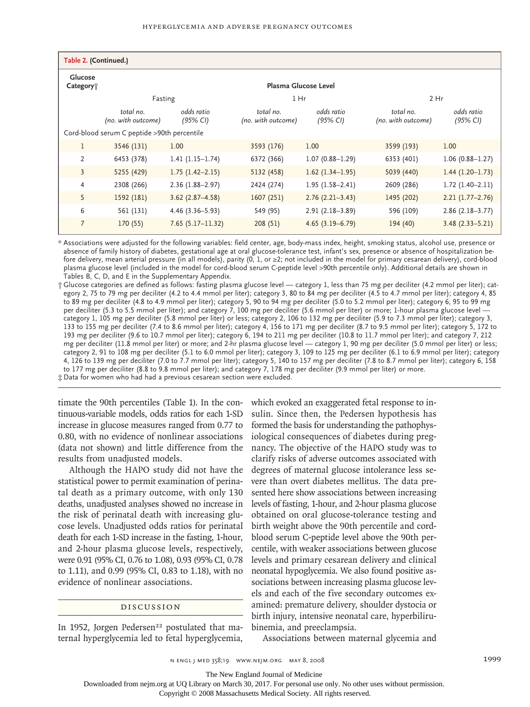| Table 2. (Continued.)                       |                                 |                        |                                 |                        |                                 |                        |
|---------------------------------------------|---------------------------------|------------------------|---------------------------------|------------------------|---------------------------------|------------------------|
| Glucose<br>Category <sup>*</sup>            |                                 |                        |                                 | Plasma Glucose Level   |                                 |                        |
|                                             |                                 | 1Hr<br>Fasting         |                                 | 2 Hr                   |                                 |                        |
|                                             | total no.<br>(no. with outcome) | odds ratio<br>(95% CI) | total no.<br>(no. with outcome) | odds ratio<br>(95% CI) | total no.<br>(no. with outcome) | odds ratio<br>(95% CI) |
| Cord-blood serum C peptide >90th percentile |                                 |                        |                                 |                        |                                 |                        |
| 1                                           | 3546 (131)                      | 1.00                   | 3593 (176)                      | 1.00                   | 3599 (193)                      | 1.00                   |
| 2                                           | 6453 (378)                      | $1.41(1.15-1.74)$      | 6372 (366)                      | $1.07(0.88 - 1.29)$    | 6353 (401)                      | $1.06(0.88 - 1.27)$    |
| 3                                           | 5255 (429)                      | $1.75(1.42 - 2.15)$    | 5132 (458)                      | $1.62$ (1.34-1.95)     | 5039 (440)                      | $1.44(1.20-1.73)$      |
| 4                                           | 2308 (266)                      | $2.36(1.88-2.97)$      | 2424 (274)                      | $1.95(1.58-2.41)$      | 2609 (286)                      | $1.72(1.40-2.11)$      |
| 5                                           | 1592 (181)                      | $3.62$ (2.87-4.58)     | 1607 (251)                      | $2.76(2.21-3.43)$      | 1495 (202)                      | $2.21(1.77-2.76)$      |
| 6                                           | 561 (131)                       | $4.46(3.36 - 5.93)$    | 549 (95)                        | $2.91(2.18-3.89)$      | 596 (109)                       | $2.86(2.18-3.77)$      |
| $7\overline{ }$                             | 170 (55)                        | $7.65(5.17-11.32)$     | 208(51)                         | $4.65(3.19 - 6.79)$    | 194 (40)                        | $3.48(2.33 - 5.21)$    |

\* Associations were adjusted for the following variables: field center, age, body-mass index, height, smoking status, alcohol use, presence or absence of family history of diabetes, gestational age at oral glucose-tolerance test, infant's sex, presence or absence of hospitalization before delivery, mean arterial pressure (in all models), parity (0, 1, or ≥2; not included in the model for primary cesarean delivery), cord-blood plasma glucose level (included in the model for cord-blood serum C-peptide level >90th percentile only). Additional details are shown in Tables B, C, D, and E in the Supplementary Appendix.

† Glucose categories are defined as follows: fasting plasma glucose level — category 1, less than 75 mg per deciliter (4.2 mmol per liter); category 2, 75 to 79 mg per deciliter (4.2 to 4.4 mmol per liter); category 3, 80 to 84 mg per deciliter (4.5 to 4.7 mmol per liter); category 4, 85 to 89 mg per deciliter (4.8 to 4.9 mmol per liter); category 5, 90 to 94 mg per deciliter (5.0 to 5.2 mmol per liter); category 6, 95 to 99 mg per deciliter (5.3 to 5.5 mmol per liter); and category 7, 100 mg per deciliter (5.6 mmol per liter) or more; 1-hour plasma glucose level – category 1, 105 mg per deciliter (5.8 mmol per liter) or less; category 2, 106 to 132 mg per deciliter (5.9 to 7.3 mmol per liter); category 3, 133 to 155 mg per deciliter (7.4 to 8.6 mmol per liter); category 4, 156 to 171 mg per deciliter (8.7 to 9.5 mmol per liter); category 5, 172 to 193 mg per deciliter (9.6 to 10.7 mmol per liter); category 6, 194 to 211 mg per deciliter (10.8 to 11.7 mmol per liter); and category 7, 212 mg per deciliter (11.8 mmol per liter) or more; and 2-hr plasma glucose level — category 1, 90 mg per deciliter (5.0 mmol per liter) or less; category 2, 91 to 108 mg per deciliter (5.1 to 6.0 mmol per liter); category 3, 109 to 125 mg per deciliter (6.1 to 6.9 mmol per liter); category 4, 126 to 139 mg per deciliter (7.0 to 7.7 mmol per liter); category 5, 140 to 157 mg per deciliter (7.8 to 8.7 mmol per liter); category 6, 158 to 177 mg per deciliter (8.8 to 9.8 mmol per liter); and category 7, 178 mg per deciliter (9.9 mmol per liter) or more.

‡ Data for women who had had a previous cesarean section were excluded.

timate the 90th percentiles (Table 1). In the continuous-variable models, odds ratios for each 1-SD increase in glucose measures ranged from 0.77 to 0.80, with no evidence of nonlinear associations (data not shown) and little difference from the results from unadjusted models.

Although the HAPO study did not have the statistical power to permit examination of perinatal death as a primary outcome, with only 130 deaths, unadjusted analyses showed no increase in the risk of perinatal death with increasing glucose levels. Unadjusted odds ratios for perinatal death for each 1-SD increase in the fasting, 1-hour, and 2-hour plasma glucose levels, respectively, were 0.91 (95% CI, 0.76 to 1.08), 0.93 (95% CI, 0.78 to 1.11), and 0.99 (95% CI, 0.83 to 1.18), with no evidence of nonlinear associations.

### Discussion

In 1952, Jorgen Pedersen<sup>22</sup> postulated that maternal hyperglycemia led to fetal hyperglycemia,

which evoked an exaggerated fetal response to insulin. Since then, the Pedersen hypothesis has formed the basis for understanding the pathophysiological consequences of diabetes during pregnancy. The objective of the HAPO study was to clarify risks of adverse outcomes associated with degrees of maternal glucose intolerance less severe than overt diabetes mellitus. The data presented here show associations between increasing levels of fasting, 1-hour, and 2-hour plasma glucose obtained on oral glucose-tolerance testing and birth weight above the 90th percentile and cordblood serum C-peptide level above the 90th percentile, with weaker associations between glucose levels and primary cesarean delivery and clinical neonatal hypoglycemia. We also found positive associations between increasing plasma glucose levels and each of the five secondary outcomes examined: premature delivery, shoulder dystocia or birth injury, intensive neonatal care, hyperbilirubinemia, and preeclampsia.

Associations between maternal glycemia and

The New England Journal of Medicine

Downloaded from nejm.org at UQ Library on March 30, 2017. For personal use only. No other uses without permission.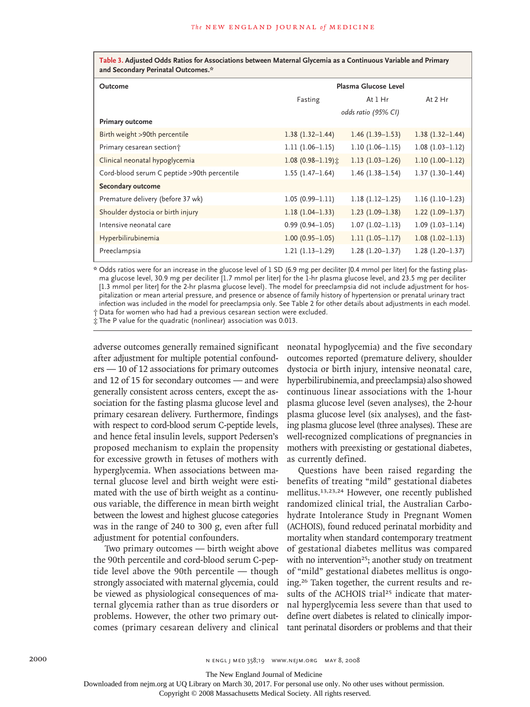| Table 3. Adjusted Odds Ratios for Associations between Maternal Glycemia as a Continuous Variable and Primary<br>and Secondary Perinatal Outcomes.* |                          |                     |                     |  |  |
|-----------------------------------------------------------------------------------------------------------------------------------------------------|--------------------------|---------------------|---------------------|--|--|
| Outcome                                                                                                                                             | Plasma Glucose Level     |                     |                     |  |  |
|                                                                                                                                                     | Fasting                  | At $1$ Hr           | At 2 Hr             |  |  |
|                                                                                                                                                     | odds ratio (95% CI)      |                     |                     |  |  |
| Primary outcome                                                                                                                                     |                          |                     |                     |  |  |
| Birth weight >90th percentile                                                                                                                       | $1.38(1.32 - 1.44)$      | $1.46(1.39-1.53)$   | $1.38(1.32 - 1.44)$ |  |  |
| Primary cesarean section <sup>+</sup>                                                                                                               | $1.11(1.06-1.15)$        | $1.10(1.06-1.15)$   | $1.08(1.03 - 1.12)$ |  |  |
| Clinical neonatal hypoglycemia                                                                                                                      | $1.08$ (0.98-1.19) $\pm$ | $1.13(1.03-1.26)$   | $1.10(1.00-1.12)$   |  |  |
| Cord-blood serum C peptide >90th percentile                                                                                                         | $1.55(1.47-1.64)$        | $1.46(1.38-1.54)$   | $1.37(1.30 - 1.44)$ |  |  |
| Secondary outcome                                                                                                                                   |                          |                     |                     |  |  |
| Premature delivery (before 37 wk)                                                                                                                   | $1.05(0.99 - 1.11)$      | $1.18(1.12 - 1.25)$ | $1.16(1.10-1.23)$   |  |  |
| Shoulder dystocia or birth injury                                                                                                                   | $1.18(1.04-1.33)$        | $1.23(1.09-1.38)$   | $1.22$ (1.09-1.37)  |  |  |
| Intensive neonatal care                                                                                                                             | $0.99(0.94 - 1.05)$      | $1.07(1.02 - 1.13)$ | $1.09(1.03 - 1.14)$ |  |  |
| Hyperbilirubinemia                                                                                                                                  | $1.00(0.95 - 1.05)$      | $1.11(1.05-1.17)$   | $1.08(1.02 - 1.13)$ |  |  |
| Preeclampsia                                                                                                                                        | $1.21(1.13-1.29)$        | $1.28(1.20 - 1.37)$ | $1.28(1.20 - 1.37)$ |  |  |

**\*** Odds ratios were for an increase in the glucose level of 1 SD (6.9 mg per deciliter [0.4 mmol per liter] for the fasting plasma glucose level, 30.9 mg per deciliter [1.7 mmol per liter] for the 1-hr plasma glucose level, and 23.5 mg per deciliter [1.3 mmol per liter] for the 2-hr plasma glucose level). The model for preeclampsia did not include adjustment for hospitalization or mean arterial pressure, and presence or absence of family history of hypertension or prenatal urinary tract infection was included in the model for preeclampsia only. See Table 2 for other details about adjustments in each model. † Data for women who had had a previous cesarean section were excluded.

‡ The P value for the quadratic (nonlinear) association was 0.013.

adverse outcomes generally remained significant after adjustment for multiple potential confounders — 10 of 12 associations for primary outcomes and 12 of 15 for secondary outcomes — and were generally consistent across centers, except the association for the fasting plasma glucose level and primary cesarean delivery. Furthermore, findings with respect to cord-blood serum C-peptide levels, and hence fetal insulin levels, support Pedersen's proposed mechanism to explain the propensity for excessive growth in fetuses of mothers with hyperglycemia. When associations between maternal glucose level and birth weight were estimated with the use of birth weight as a continuous variable, the difference in mean birth weight between the lowest and highest glucose categories was in the range of 240 to 300 g, even after full adjustment for potential confounders.

Two primary outcomes — birth weight above the 90th percentile and cord-blood serum C-peptide level above the 90th percentile — though strongly associated with maternal glycemia, could be viewed as physiological consequences of maternal glycemia rather than as true disorders or problems. However, the other two primary outcomes (primary cesarean delivery and clinical neonatal hypoglycemia) and the five secondary outcomes reported (premature delivery, shoulder dystocia or birth injury, intensive neonatal care, hyperbilirubinemia, and preeclampsia) also showed continuous linear associations with the 1-hour plasma glucose level (seven analyses), the 2-hour plasma glucose level (six analyses), and the fasting plasma glucose level (three analyses). These are well-recognized complications of pregnancies in mothers with preexisting or gestational diabetes, as currently defined.

Questions have been raised regarding the benefits of treating "mild" gestational diabetes mellitus.13,23,24 However, one recently published randomized clinical trial, the Australian Carbohydrate Intolerance Study in Pregnant Women (ACHOIS), found reduced perinatal morbidity and mortality when standard contemporary treatment of gestational diabetes mellitus was compared with no intervention<sup>25</sup>; another study on treatment of "mild" gestational diabetes mellitus is ongoing.26 Taken together, the current results and results of the ACHOIS trial<sup>25</sup> indicate that maternal hyperglycemia less severe than that used to define overt diabetes is related to clinically important perinatal disorders or problems and that their

The New England Journal of Medicine

Downloaded from nejm.org at UQ Library on March 30, 2017. For personal use only. No other uses without permission.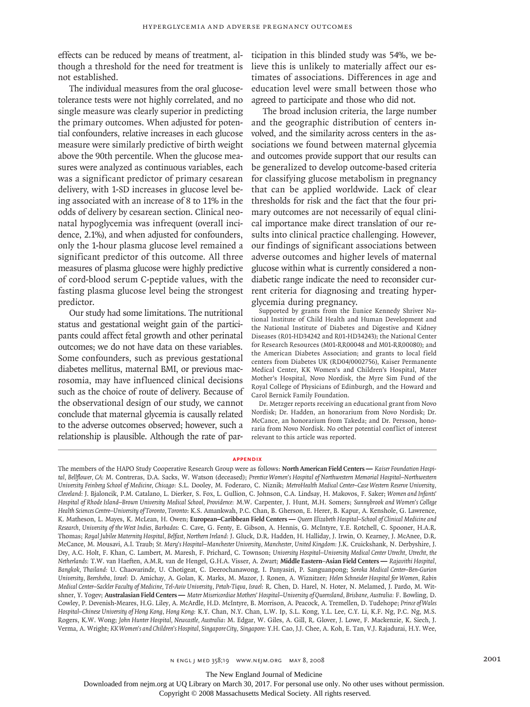effects can be reduced by means of treatment, although a threshold for the need for treatment is not established.

The individual measures from the oral glucosetolerance tests were not highly correlated, and no single measure was clearly superior in predicting the primary outcomes. When adjusted for potential confounders, relative increases in each glucose measure were similarly predictive of birth weight above the 90th percentile. When the glucose measures were analyzed as continuous variables, each was a significant predictor of primary cesarean delivery, with 1-SD increases in glucose level being associated with an increase of 8 to 11% in the odds of delivery by cesarean section. Clinical neonatal hypoglycemia was infrequent (overall incidence, 2.1%), and when adjusted for confounders, only the 1-hour plasma glucose level remained a significant predictor of this outcome. All three measures of plasma glucose were highly predictive of cord-blood serum C-peptide values, with the fasting plasma glucose level being the strongest predictor.

Our study had some limitations. The nutritional status and gestational weight gain of the participants could affect fetal growth and other perinatal outcomes; we do not have data on these variables. Some confounders, such as previous gestational diabetes mellitus, maternal BMI, or previous macrosomia, may have influenced clinical decisions such as the choice of route of delivery. Because of the observational design of our study, we cannot conclude that maternal glycemia is causally related to the adverse outcomes observed; however, such a relationship is plausible. Although the rate of participation in this blinded study was 54%, we believe this is unlikely to materially affect our estimates of associations. Differences in age and education level were small between those who agreed to participate and those who did not.

The broad inclusion criteria, the large number and the geographic distribution of centers involved, and the similarity across centers in the associations we found between maternal glycemia and outcomes provide support that our results can be generalized to develop outcome-based criteria for classifying glucose metabolism in pregnancy that can be applied worldwide. Lack of clear thresholds for risk and the fact that the four primary outcomes are not necessarily of equal clinical importance make direct translation of our results into clinical practice challenging. However, our findings of significant associations between adverse outcomes and higher levels of maternal glucose within what is currently considered a nondiabetic range indicate the need to reconsider current criteria for diagnosing and treating hyperglycemia during pregnancy.

Supported by grants from the Eunice Kennedy Shriver National Institute of Child Health and Human Development and the National Institute of Diabetes and Digestive and Kidney Diseases (R01-HD34242 and R01-HD34243); the National Center for Research Resources (M01-RR00048 and M01-RR00080); and the American Diabetes Association; and grants to local field centers from Diabetes UK (RD04/0002756), Kaiser Permanente Medical Center, KK Women's and Children's Hospital, Mater Mother's Hospital, Novo Nordisk, the Myre Sim Fund of the Royal College of Physicians of Edinburgh, and the Howard and Carol Bernick Family Foundation.

Dr. Metzger reports receiving an educational grant from Novo Nordisk; Dr. Hadden, an honorarium from Novo Nordisk; Dr. McCance, an honorarium from Takeda; and Dr. Persson, honoraria from Novo Nordisk. No other potential conflict of interest relevant to this article was reported.

#### **APPENDIX**

The members of the HAPO Study Cooperative Research Group were as follows: **North American Field Centers —** *Kaiser Foundation Hospital, Bellflower, CA:* M. Contreras, D.A. Sacks, W. Watson (deceased); *Prentice Women's Hospital of Northwestern Memorial Hospital–Northwestern University Feinberg School of Medicine, Chicago:* S.L. Dooley, M. Foderaro, C. Niznik; *MetroHealth Medical Center–Case Western Reserve University, Cleveland:* J. Bjaloncik, P.M. Catalano, L. Dierker, S. Fox, L. Gullion, C. Johnson, C.A. Lindsay, H. Makovos, F. Saker; *Women and Infants' Hospital of Rhode Island–Brown University Medical School, Providence:* M.W. Carpenter, J. Hunt, M.H. Somers; *Sunnybrook and Women's College Health Sciences Centre–University of Toronto, Toronto*: K.S. Amankwah, P.C. Chan, B. Gherson, E. Herer, B. Kapur, A. Kenshole, G. Lawrence, K. Matheson, L. Mayes, K. McLean, H. Owen; **European–Caribbean Field Centers —** *Queen Elizabeth Hospital–School of Clinical Medicine and Research, University of the West Indies, Barbados:* C. Cave, G. Fenty, E. Gibson, A. Hennis, G. McIntyre, Y.E. Rotchell, C. Spooner, H.A.R. Thomas; *Royal Jubilee Maternity Hospital, Belfast, Northern Ireland:* J. Gluck, D.R. Hadden, H. Halliday, J. Irwin, O. Kearney, J. McAnee, D.R. McCance, M. Mousavi, A.I. Traub; *St. Mary's Hospital–Manchester University, Manchester, United Kingdom:* J.K. Cruickshank, N. Derbyshire, J. Dry, A.C. Holt, F. Khan, C. Lambert, M. Maresh, F. Prichard, C. Townson; *University Hospital–University Medical Center Utrecht, Utrecht, the Netherlands:* T.W. van Haeften, A.M.R. van de Hengel, G.H.A. Visser, A. Zwart; **Middle Eastern***–***Asian Field Centers —** *Rajavithi Hospital, Bangkok, Thailand:* U. Chaovarindr, U. Chotigeat, C. Deerochanawong, I. Panyasiri, P. Sanguanpong; *Soroka Medical Center–Ben-Gurion University, Beersheba, Israel:* D. Amichay, A. Golan, K. Marks, M. Mazor, J. Ronen, A. Wiznitzer; *Helen Schneider Hospital for Women, Rabin Medical Center–Sackler Faculty of Medicine, Tel-Aviv University, Petah-Tiqva, Israel:* R. Chen, D. Harel, N. Hoter, N. Melamed, J. Pardo, M. Witshner, Y. Yogev; **Australasian Field Centers —** *Mater Misericordiae Mothers' Hospital–University of Queensland, Brisbane, Australia:* F. Bowling, D. Cowley, P. Devenish-Meares, H.G. Liley, A. McArdle, H.D. McIntyre, B. Morrison, A. Peacock, A. Tremellen, D. Tudehope; *Prince of Wales Hospital–Chinese University of Hong Kong, Hong Kong:* K.Y. Chan, N.Y. Chan, L.W. Ip, S.L. Kong, Y.L. Lee, C.Y. Li, K.F. Ng, P.C. Ng, M.S. Rogers, K.W. Wong; *John Hunter Hospital, Newcastle, Australia*: M. Edgar, W. Giles, A. Gill, R. Glover, J. Lowe, F. Mackenzie, K. Siech, J. Verma, A. Wright; *KK Women's and Children's Hospital, Singapore City, Singapore:* Y.H. Cao, J.J. Chee, A. Koh, E. Tan, V.J. Rajadurai, H.Y. Wee,

The New England Journal of Medicine

Downloaded from nejm.org at UQ Library on March 30, 2017. For personal use only. No other uses without permission.